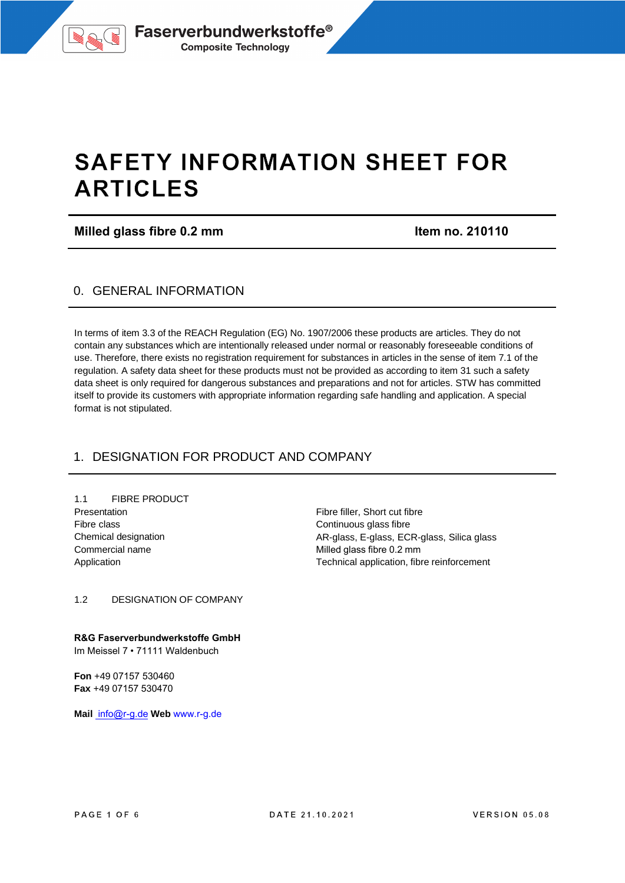

# **SAFETY INFORMATION SHEET FOR ARTICLES**

**Milled glass fibre 0.2 mm Item no. 210110** 

### 0. GENERAL INFORMATION

In terms of item 3.3 of the REACH Regulation (EG) No. 1907/2006 these products are articles. They do not contain any substances which are intentionally released under normal or reasonably foreseeable conditions of use. Therefore, there exists no registration requirement for substances in articles in the sense of item 7.1 of the regulation. A safety data sheet for these products must not be provided as according to item 31 such a safety data sheet is only required for dangerous substances and preparations and not for articles. STW has committed itself to provide its customers with appropriate information regarding safe handling and application. A special format is not stipulated.

# 1. DESIGNATION FOR PRODUCT AND COMPANY

1.1 FIBRE PRODUCT Presentation Fibre class Chemical designation Commercial name Application

Fibre filler, Short cut fibre Continuous glass fibre AR-glass, E-glass, ECR-glass, Silica glass Milled glass fibre 0.2 mm Technical application, fibre reinforcement

1.2 DESIGNATION OF COMPANY

**R&G Faserverbundwerkstoffe GmbH** Im Meissel 7 • 71111 Waldenbuch

**Fon** +49 07157 530460 **Fax** +49 07157 530470

**Mail** info@r-g.de **Web** www.r-g.de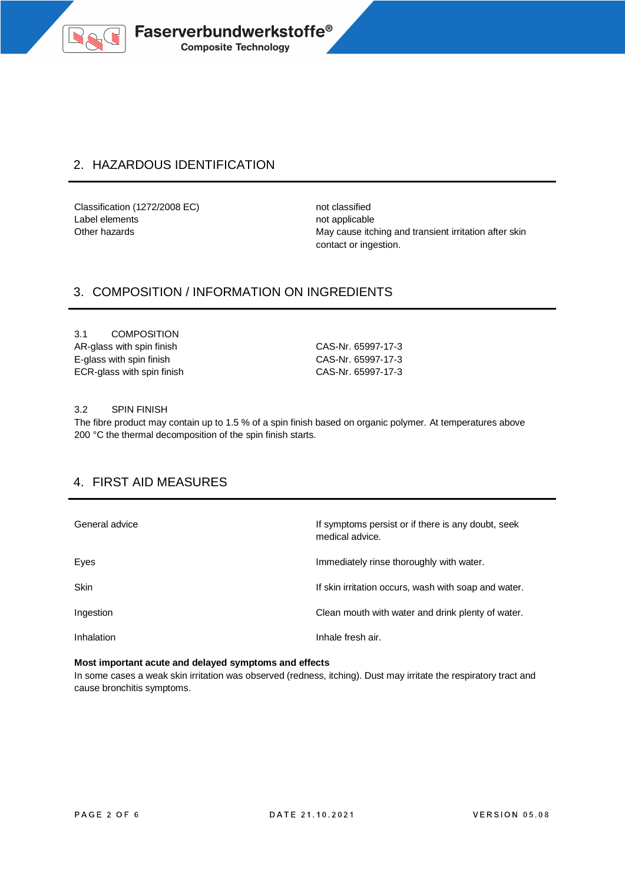

# 2. HAZARDOUS IDENTIFICATION

Classification (1272/2008 EC) not classified Label elements not applicable

Other hazards **May cause itching and transient irritation after skin** May cause itching and transient irritation after skin contact or ingestion.

# 3. COMPOSITION / INFORMATION ON INGREDIENTS

3.1 COMPOSITION AR-glass with spin finish CAS-Nr. 65997-17-3 E-glass with spin finish CAS-Nr. 65997-17-3 ECR-glass with spin finish CAS-Nr. 65997-17-3

#### 3.2 SPIN FINISH

The fibre product may contain up to 1.5 % of a spin finish based on organic polymer. At temperatures above 200 °C the thermal decomposition of the spin finish starts.

### 4. FIRST AID MEASURES

| General advice | If symptoms persist or if there is any doubt, seek<br>medical advice. |
|----------------|-----------------------------------------------------------------------|
| Eyes           | Immediately rinse thoroughly with water.                              |
| <b>Skin</b>    | If skin irritation occurs, wash with soap and water.                  |
| Ingestion      | Clean mouth with water and drink plenty of water.                     |
| Inhalation     | Inhale fresh air.                                                     |

#### **Most important acute and delayed symptoms and effects**

In some cases a weak skin irritation was observed (redness, itching). Dust may irritate the respiratory tract and cause bronchitis symptoms.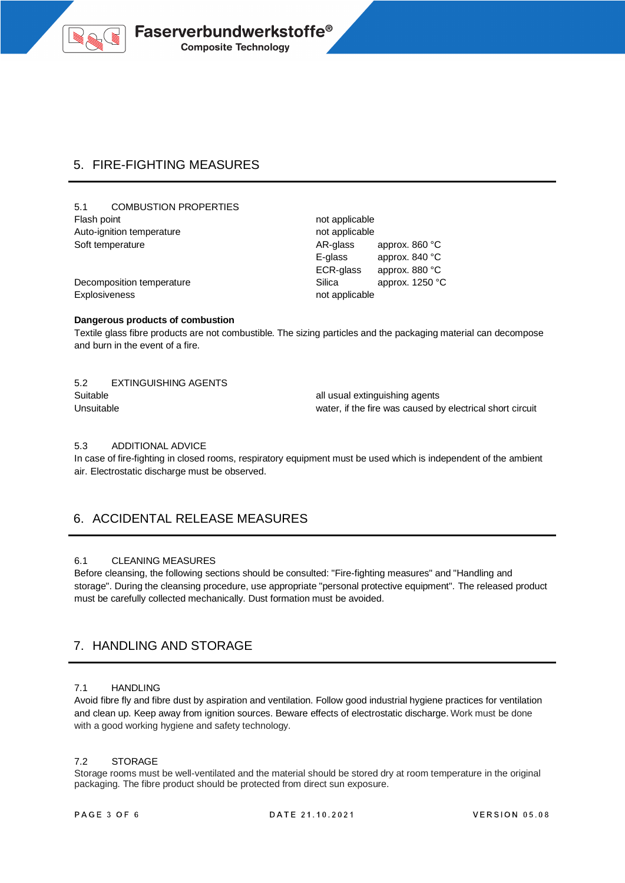

# 5. FIRE-FIGHTING MEASURES

5.1 COMBUSTION PROPERTIES Flash point **not** applicable Auto-ignition temperature not applicable Soft temperature AR-glass approx. 860 °C

E-glass approx. 840 °C ECR-glass approx. 880 °C Decomposition temperature and state approx. 1250 °C

Explosiveness not applicable not applicable

#### **Dangerous products of combustion**

Textile glass fibre products are not combustible. The sizing particles and the packaging material can decompose and burn in the event of a fire.

5.2 EXTINGUISHING AGENTS Suitable **and Suitable all usual extinguishing agents** 

Unsuitable water, if the fire was caused by electrical short circuit

#### 5.3 ADDITIONAL ADVICE

In case of fire-fighting in closed rooms, respiratory equipment must be used which is independent of the ambient air. Electrostatic discharge must be observed.

# 6. ACCIDENTAL RELEASE MEASURES

#### 6.1 CLEANING MEASURES

Before cleansing, the following sections should be consulted: "Fire-fighting measures" and "Handling and storage". During the cleansing procedure, use appropriate "personal protective equipment". The released product must be carefully collected mechanically. Dust formation must be avoided.

# 7. HANDLING AND STORAGE

#### 7.1 HANDLING

Avoid fibre fly and fibre dust by aspiration and ventilation. Follow good industrial hygiene practices for ventilation and clean up. Keep away from ignition sources. Beware effects of electrostatic discharge. Work must be done with a good working hygiene and safety technology.

#### 7.2 STORAGE

Storage rooms must be well-ventilated and the material should be stored dry at room temperature in the original packaging. The fibre product should be protected from direct sun exposure.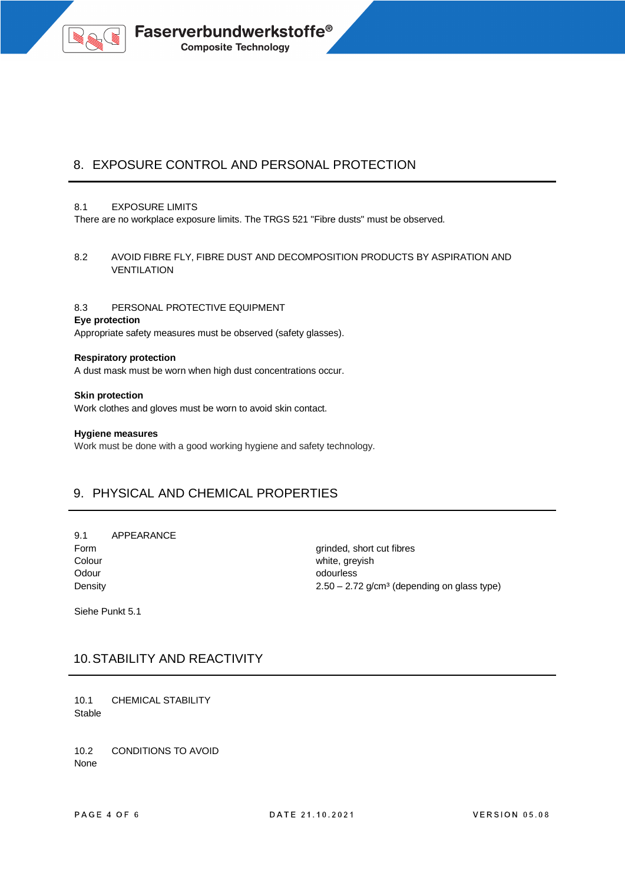

# 8. EXPOSURE CONTROL AND PERSONAL PROTECTION

#### 8.1 EXPOSURE LIMITS

There are no workplace exposure limits. The TRGS 521 "Fibre dusts" must be observed.

8.2 AVOID FIBRE FLY, FIBRE DUST AND DECOMPOSITION PRODUCTS BY ASPIRATION AND VENTILATION

#### 8.3 PERSONAL PROTECTIVE EQUIPMENT

#### **Eye protection**

Appropriate safety measures must be observed (safety glasses).

#### **Respiratory protection**

A dust mask must be worn when high dust concentrations occur.

**Skin protection** Work clothes and gloves must be worn to avoid skin contact.

#### **Hygiene measures**

Work must be done with a good working hygiene and safety technology.

### 9. PHYSICAL AND CHEMICAL PROPERTIES

9.1 APPEARANCE Form grinded, short cut fibres Colour **Colour** White, greyish Odour contracts of the contracts of the contracts of the contracts of the contracts of the contracts of the contracts of the contracts of the contracts of the contracts of the contracts of the contracts of the contracts of

Density **2.50** – 2.72 g/cm<sup>3</sup> (depending on glass type)

Siehe Punkt 5.1

### 10.STABILITY AND REACTIVITY

10.1 CHEMICAL STABILITY **Stable** 

10.2 CONDITIONS TO AVOID None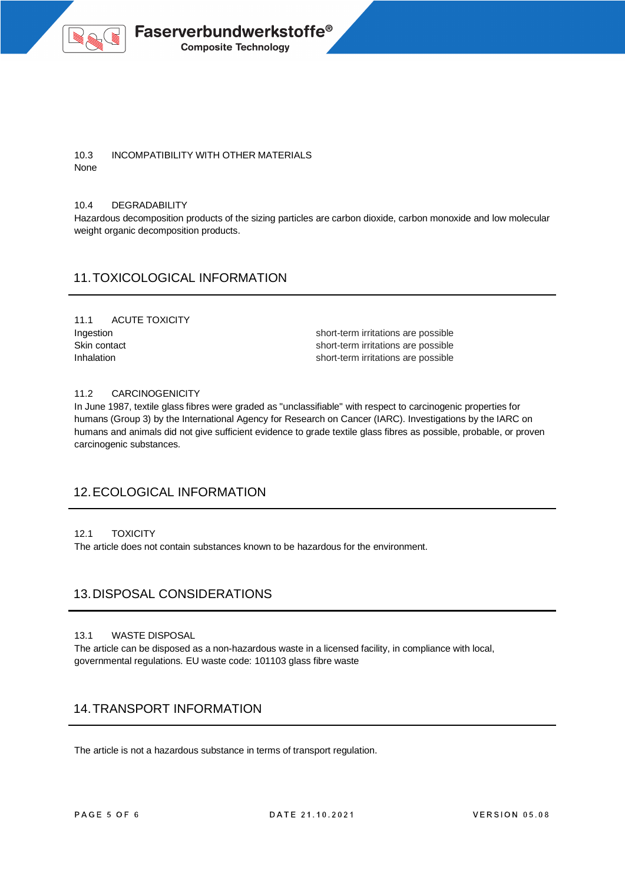

#### 10.3 INCOMPATIBILITY WITH OTHER MATERIALS None

#### 10.4 DEGRADABILITY

Hazardous decomposition products of the sizing particles are carbon dioxide, carbon monoxide and low molecular weight organic decomposition products.

### 11.TOXICOLOGICAL INFORMATION

# 11.1 ACUTE TOXICITY

Ingestion short-term irritations are possible Skin contact short-term irritations are possible Inhalation short-term irritations are possible

#### 11.2 CARCINOGENICITY

In June 1987, textile glass fibres were graded as "unclassifiable" with respect to carcinogenic properties for humans (Group 3) by the International Agency for Research on Cancer (IARC). Investigations by the IARC on humans and animals did not give sufficient evidence to grade textile glass fibres as possible, probable, or proven carcinogenic substances.

### 12.ECOLOGICAL INFORMATION

#### 12.1 TOXICITY

The article does not contain substances known to be hazardous for the environment.

### 13.DISPOSAL CONSIDERATIONS

#### 13.1 WASTE DISPOSAL

The article can be disposed as a non-hazardous waste in a licensed facility, in compliance with local, governmental regulations. EU waste code: 101103 glass fibre waste

### 14.TRANSPORT INFORMATION

The article is not a hazardous substance in terms of transport regulation.